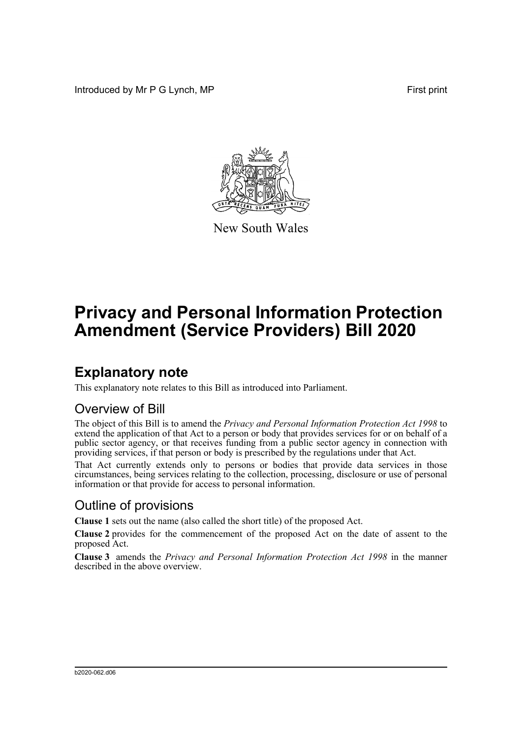Introduced by Mr P G Lynch, MP First print



New South Wales

# **Privacy and Personal Information Protection Amendment (Service Providers) Bill 2020**

## **Explanatory note**

This explanatory note relates to this Bill as introduced into Parliament.

#### Overview of Bill

The object of this Bill is to amend the *Privacy and Personal Information Protection Act 1998* to extend the application of that Act to a person or body that provides services for or on behalf of a public sector agency, or that receives funding from a public sector agency in connection with providing services, if that person or body is prescribed by the regulations under that Act.

That Act currently extends only to persons or bodies that provide data services in those circumstances, being services relating to the collection, processing, disclosure or use of personal information or that provide for access to personal information.

#### Outline of provisions

**Clause 1** sets out the name (also called the short title) of the proposed Act.

**Clause 2** provides for the commencement of the proposed Act on the date of assent to the proposed Act.

**Clause 3** amends the *Privacy and Personal Information Protection Act 1998* in the manner described in the above overview.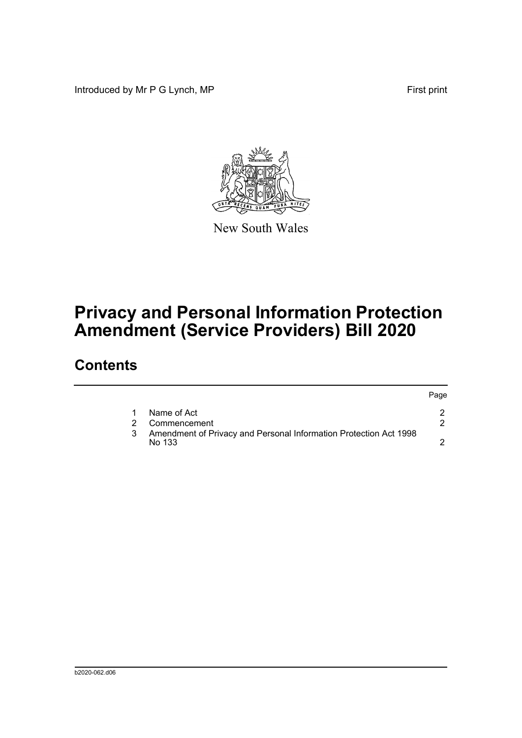Introduced by Mr P G Lynch, MP First print

Page



New South Wales

# **Privacy and Personal Information Protection Amendment (Service Providers) Bill 2020**

### **Contents**

|   |                                                                             | rage. |
|---|-----------------------------------------------------------------------------|-------|
|   | Name of Act                                                                 |       |
|   | Commencement                                                                |       |
| 3 | Amendment of Privacy and Personal Information Protection Act 1998<br>No 133 |       |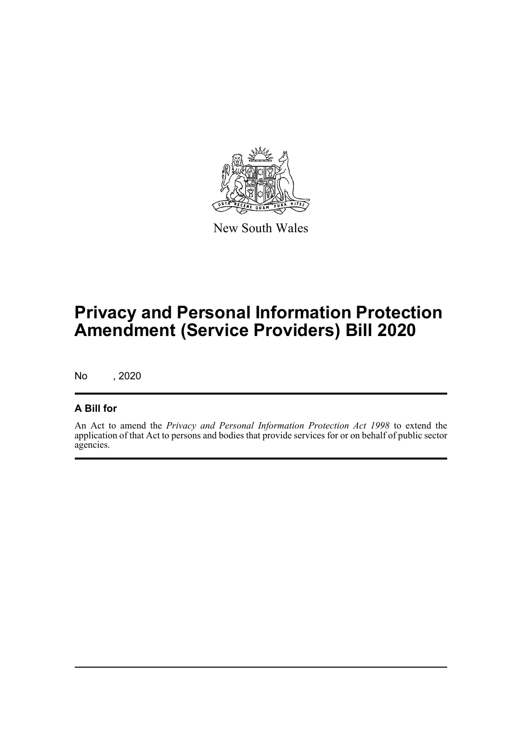

New South Wales

## **Privacy and Personal Information Protection Amendment (Service Providers) Bill 2020**

No , 2020

#### **A Bill for**

An Act to amend the *Privacy and Personal Information Protection Act 1998* to extend the application of that Act to persons and bodies that provide services for or on behalf of public sector agencies.